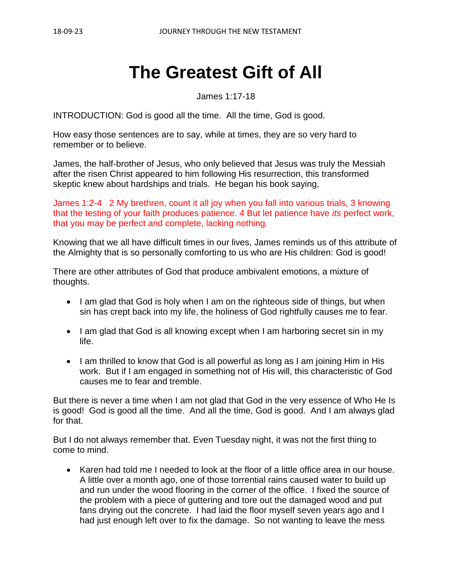# **The Greatest Gift of All**

James 1:17-18

INTRODUCTION: God is good all the time. All the time, God is good.

How easy those sentences are to say, while at times, they are so very hard to remember or to believe.

James, the half-brother of Jesus, who only believed that Jesus was truly the Messiah after the risen Christ appeared to him following His resurrection, this transformed skeptic knew about hardships and trials. He began his book saying,

James 1:2-4 2 My brethren, count it all joy when you fall into various trials, 3 knowing that the testing of your faith produces patience. 4 But let patience have *its* perfect work, that you may be perfect and complete, lacking nothing.

Knowing that we all have difficult times in our lives, James reminds us of this attribute of the Almighty that is so personally comforting to us who are His children: God is good!

There are other attributes of God that produce ambivalent emotions, a mixture of thoughts.

- I am glad that God is holy when I am on the righteous side of things, but when sin has crept back into my life, the holiness of God rightfully causes me to fear.
- I am glad that God is all knowing except when I am harboring secret sin in my life.
- I am thrilled to know that God is all powerful as long as I am joining Him in His work. But if I am engaged in something not of His will, this characteristic of God causes me to fear and tremble.

But there is never a time when I am not glad that God in the very essence of Who He Is is good! God is good all the time. And all the time, God is good. And I am always glad for that.

But I do not always remember that. Even Tuesday night, it was not the first thing to come to mind.

• Karen had told me I needed to look at the floor of a little office area in our house. A little over a month ago, one of those torrential rains caused water to build up and run under the wood flooring in the corner of the office. I fixed the source of the problem with a piece of guttering and tore out the damaged wood and put fans drying out the concrete. I had laid the floor myself seven years ago and I had just enough left over to fix the damage. So not wanting to leave the mess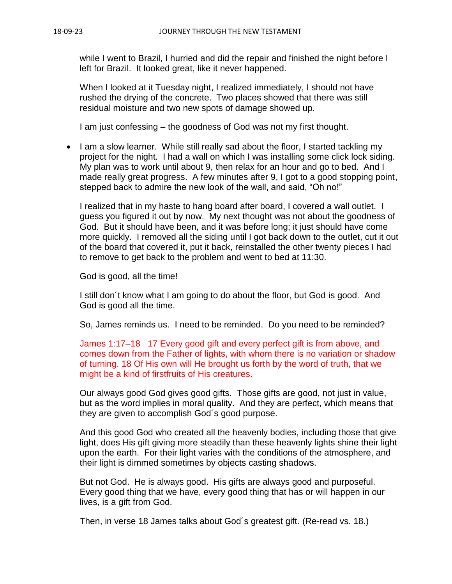while I went to Brazil, I hurried and did the repair and finished the night before I left for Brazil. It looked great, like it never happened.

When I looked at it Tuesday night, I realized immediately, I should not have rushed the drying of the concrete. Two places showed that there was still residual moisture and two new spots of damage showed up.

I am just confessing – the goodness of God was not my first thought.

• I am a slow learner. While still really sad about the floor, I started tackling my project for the night. I had a wall on which I was installing some click lock siding. My plan was to work until about 9, then relax for an hour and go to bed. And I made really great progress. A few minutes after 9, I got to a good stopping point, stepped back to admire the new look of the wall, and said, "Oh no!"

I realized that in my haste to hang board after board, I covered a wall outlet. I guess you figured it out by now. My next thought was not about the goodness of God. But it should have been, and it was before long; it just should have come more quickly. I removed all the siding until I got back down to the outlet, cut it out of the board that covered it, put it back, reinstalled the other twenty pieces I had to remove to get back to the problem and went to bed at 11:30.

God is good, all the time!

I still don´t know what I am going to do about the floor, but God is good. And God is good all the time.

So, James reminds us. I need to be reminded. Do you need to be reminded?

James 1:17–18 17 Every good gift and every perfect gift is from above, and comes down from the Father of lights, with whom there is no variation or shadow of turning. 18 Of His own will He brought us forth by the word of truth, that we might be a kind of firstfruits of His creatures.

Our always good God gives good gifts. Those gifts are good, not just in value, but as the word implies in moral quality. And they are perfect, which means that they are given to accomplish God´s good purpose.

And this good God who created all the heavenly bodies, including those that give light, does His gift giving more steadily than these heavenly lights shine their light upon the earth. For their light varies with the conditions of the atmosphere, and their light is dimmed sometimes by objects casting shadows.

But not God. He is always good. His gifts are always good and purposeful. Every good thing that we have, every good thing that has or will happen in our lives, is a gift from God.

Then, in verse 18 James talks about God´s greatest gift. (Re-read vs. 18.)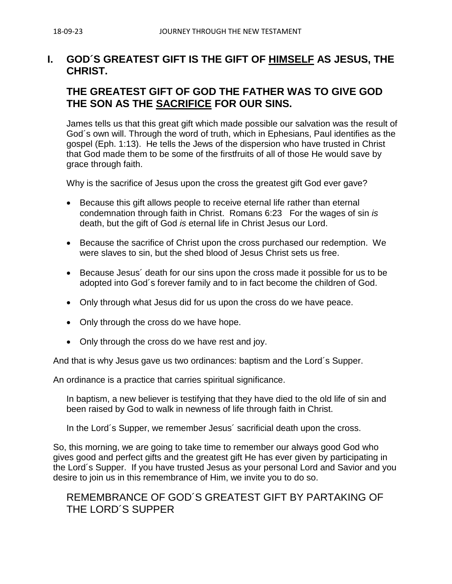## **I. GOD´S GREATEST GIFT IS THE GIFT OF HIMSELF AS JESUS, THE CHRIST.**

# **THE GREATEST GIFT OF GOD THE FATHER WAS TO GIVE GOD THE SON AS THE SACRIFICE FOR OUR SINS.**

James tells us that this great gift which made possible our salvation was the result of God´s own will. Through the word of truth, which in Ephesians, Paul identifies as the gospel (Eph. 1:13). He tells the Jews of the dispersion who have trusted in Christ that God made them to be some of the firstfruits of all of those He would save by grace through faith.

Why is the sacrifice of Jesus upon the cross the greatest gift God ever gave?

- Because this gift allows people to receive eternal life rather than eternal condemnation through faith in Christ. Romans 6:23 For the wages of sin *is* death, but the gift of God *is* eternal life in Christ Jesus our Lord.
- Because the sacrifice of Christ upon the cross purchased our redemption. We were slaves to sin, but the shed blood of Jesus Christ sets us free.
- Because Jesus´ death for our sins upon the cross made it possible for us to be adopted into God´s forever family and to in fact become the children of God.
- Only through what Jesus did for us upon the cross do we have peace.
- Only through the cross do we have hope.
- Only through the cross do we have rest and joy.

And that is why Jesus gave us two ordinances: baptism and the Lord´s Supper.

An ordinance is a practice that carries spiritual significance.

In baptism, a new believer is testifying that they have died to the old life of sin and been raised by God to walk in newness of life through faith in Christ.

In the Lord´s Supper, we remember Jesus´ sacrificial death upon the cross.

So, this morning, we are going to take time to remember our always good God who gives good and perfect gifts and the greatest gift He has ever given by participating in the Lord´s Supper. If you have trusted Jesus as your personal Lord and Savior and you desire to join us in this remembrance of Him, we invite you to do so.

## REMEMBRANCE OF GOD´S GREATEST GIFT BY PARTAKING OF THE LORD´S SUPPER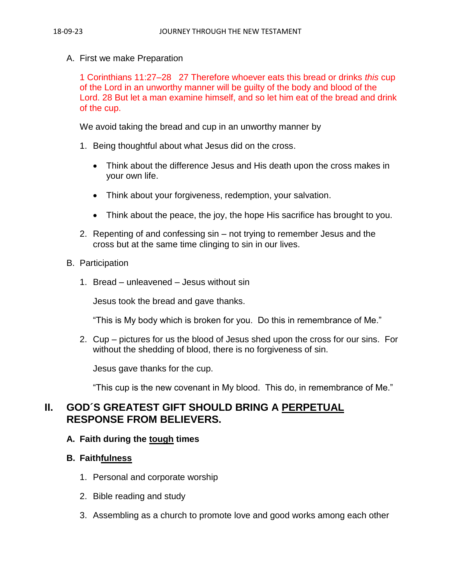A. First we make Preparation

1 Corinthians 11:27–28 27 Therefore whoever eats this bread or drinks *this* cup of the Lord in an unworthy manner will be guilty of the body and blood of the Lord. 28 But let a man examine himself, and so let him eat of the bread and drink of the cup.

We avoid taking the bread and cup in an unworthy manner by

- 1. Being thoughtful about what Jesus did on the cross.
	- Think about the difference Jesus and His death upon the cross makes in your own life.
	- Think about your forgiveness, redemption, your salvation.
	- Think about the peace, the joy, the hope His sacrifice has brought to you.
- 2. Repenting of and confessing sin not trying to remember Jesus and the cross but at the same time clinging to sin in our lives.
- B. Participation
	- 1. Bread unleavened Jesus without sin

Jesus took the bread and gave thanks.

"This is My body which is broken for you. Do this in remembrance of Me."

2. Cup – pictures for us the blood of Jesus shed upon the cross for our sins. For without the shedding of blood, there is no forgiveness of sin.

Jesus gave thanks for the cup.

"This cup is the new covenant in My blood. This do, in remembrance of Me."

# **II. GOD´S GREATEST GIFT SHOULD BRING A PERPETUAL RESPONSE FROM BELIEVERS.**

#### **A. Faith during the tough times**

### **B. Faithfulness**

- 1. Personal and corporate worship
- 2. Bible reading and study
- 3. Assembling as a church to promote love and good works among each other